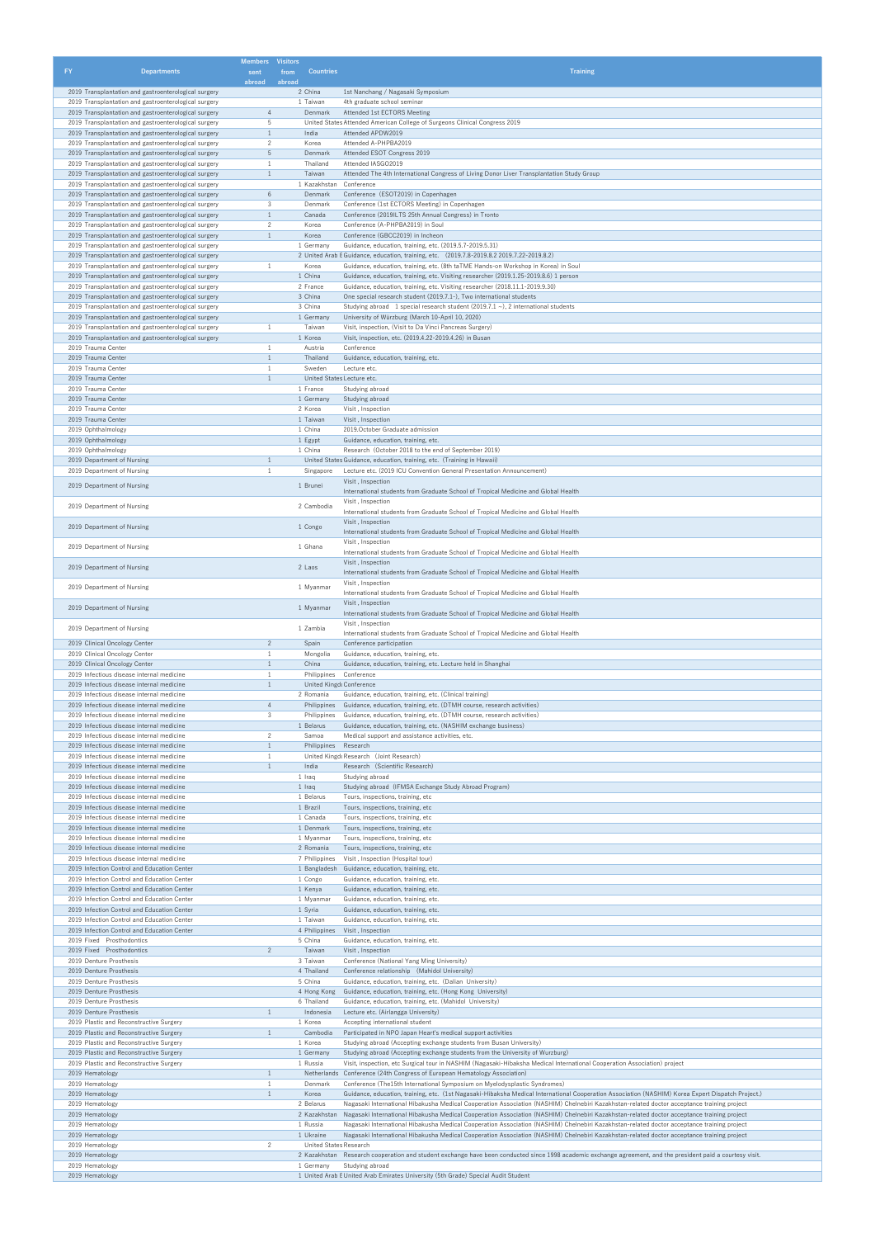| <b>FY</b>                                                | <b>Departments</b>                                                                                           | <b>Members</b> Visitors<br>sent | <b>Countries</b><br>from                          | <b>Training</b>                                                                                                                                                                                                                                                                          |
|----------------------------------------------------------|--------------------------------------------------------------------------------------------------------------|---------------------------------|---------------------------------------------------|------------------------------------------------------------------------------------------------------------------------------------------------------------------------------------------------------------------------------------------------------------------------------------------|
|                                                          | 2019 Transplantation and gastroenterological surgery                                                         | abroad                          | abroad<br>2 China                                 | 1st Nanchang / Nagasaki Symposium                                                                                                                                                                                                                                                        |
|                                                          | 2019 Transplantation and gastroenterological surgery                                                         |                                 | 1 Taiwan                                          | 4th graduate school seminar                                                                                                                                                                                                                                                              |
|                                                          | 2019 Transplantation and gastroenterological surgery                                                         | $\overline{4}$                  | Denmark                                           | Attended 1st ECTORS Meeting                                                                                                                                                                                                                                                              |
|                                                          | 2019 Transplantation and gastroenterological surgery<br>2019 Transplantation and gastroenterological surgery | 5<br>$\mathbf{1}$               | India                                             | United States Attended American College of Surgeons Clinical Congress 2019<br>Attended APDW2019                                                                                                                                                                                          |
|                                                          | 2019 Transplantation and gastroenterological surgery                                                         | $\overline{2}$                  | Korea                                             | Attended A-PHPBA2019                                                                                                                                                                                                                                                                     |
|                                                          | 2019 Transplantation and gastroenterological surgery<br>2019 Transplantation and gastroenterological surgery | 5<br>1                          | Denmark<br>Thailand                               | Attended ESOT Congress 2019<br>Attended IASGO2019                                                                                                                                                                                                                                        |
|                                                          | 2019 Transplantation and gastroenterological surgery                                                         | $\mathbf{1}$                    | Taiwan                                            | Attended The 4th International Congress of Living Donor Liver Transplantation Study Group                                                                                                                                                                                                |
|                                                          | 2019 Transplantation and gastroenterological surgery<br>2019 Transplantation and gastroenterological surgery | 6                               | 1 Kazakhstan<br>Denmark                           | Conference<br>Conference (ESOT2019) in Copenhagen                                                                                                                                                                                                                                        |
|                                                          | 2019 Transplantation and gastroenterological surgery                                                         | 3                               | Denmark                                           | Conference (1st ECTORS Meeting) in Copenhagen                                                                                                                                                                                                                                            |
|                                                          | 2019 Transplantation and gastroenterological surgery                                                         | $\mathbf{1}$<br>$\overline{2}$  | Canada<br>Korea                                   | Conference (2019ILTS 25th Annual Congress) in Tronto<br>Conference (A-PHPBA2019) in Soul                                                                                                                                                                                                 |
|                                                          | 2019 Transplantation and gastroenterological surgery<br>2019 Transplantation and gastroenterological surgery | $\mathbf{1}$                    | Korea                                             | Conference (GBCC2019) in Incheon                                                                                                                                                                                                                                                         |
|                                                          | 2019 Transplantation and gastroenterological surgery                                                         |                                 | 1 Germany                                         | Guidance, education, training, etc. (2019.5.7-2019.5.31)                                                                                                                                                                                                                                 |
|                                                          | 2019 Transplantation and gastroenterological surgery<br>2019 Transplantation and gastroenterological surgery |                                 | Korea                                             | 2 United Arab E Guidance, education, training, etc. (2019.7.8-2019.8.2 2019.7.22-2019.8.2)<br>Guidance, education, training, etc. (8th taTME Hands-on Workshop in Korea) in Soul                                                                                                         |
|                                                          | 2019 Transplantation and gastroenterological surgery                                                         |                                 | 1 China                                           | Guidance, education, training, etc. Visiting researcher (2019.1.25-2019.8.6) 1 person                                                                                                                                                                                                    |
|                                                          | 2019 Transplantation and gastroenterological surgery<br>2019 Transplantation and gastroenterological surgery |                                 | 2 France<br>3 China                               | Guidance, education, training, etc. Visiting researcher (2018.11.1-2019.9.30)<br>One special research student (2019.7.1-), Two international students                                                                                                                                    |
|                                                          | 2019 Transplantation and gastroenterological surgery                                                         |                                 | 3 China                                           | Studying abroad 1 special research student (2019.7.1 $\sim$ ), 2 international students                                                                                                                                                                                                  |
|                                                          | 2019 Transplantation and gastroenterological surgery<br>2019 Transplantation and gastroenterological surgery | 1                               | 1 Germany<br>Taiwan                               | University of Würzburg (March 10-April 10, 2020)<br>Visit, inspection, (Visit to Da Vinci Pancreas Surgery)                                                                                                                                                                              |
|                                                          | 2019 Transplantation and gastroenterological surgery                                                         |                                 | 1 Korea                                           | Visit, inspection, etc. (2019.4.22-2019.4.26) in Busan                                                                                                                                                                                                                                   |
| 2019 Trauma Center                                       |                                                                                                              | -1                              | Austria                                           | Conference                                                                                                                                                                                                                                                                               |
| 2019 Trauma Center<br>2019 Trauma Center                 |                                                                                                              | $\mathbf{1}$<br>1               | Thailand<br>Sweden                                | Guidance, education, training, etc.<br>Lecture etc.                                                                                                                                                                                                                                      |
| 2019 Trauma Center                                       |                                                                                                              | $\mathbf{1}$                    | United States Lecture etc.                        |                                                                                                                                                                                                                                                                                          |
| 2019 Trauma Center<br>2019 Trauma Center                 |                                                                                                              |                                 | 1 France<br>1 Germany                             | Studying abroad<br>Studying abroad                                                                                                                                                                                                                                                       |
| 2019 Trauma Center                                       |                                                                                                              |                                 | 2 Korea                                           | Visit, Inspection                                                                                                                                                                                                                                                                        |
| 2019 Trauma Center                                       |                                                                                                              |                                 | 1 Taiwan                                          | Visit, Inspection                                                                                                                                                                                                                                                                        |
| 2019 Ophthalmology<br>2019 Ophthalmology                 |                                                                                                              |                                 | 1 China<br>1 Egypt                                | 2019. October Graduate admission<br>Guidance, education, training, etc.                                                                                                                                                                                                                  |
| 2019 Ophthalmology                                       |                                                                                                              |                                 | 1 China                                           | Research (October 2018 to the end of September 2019)                                                                                                                                                                                                                                     |
| 2019 Department of Nursing<br>2019 Department of Nursing |                                                                                                              | $\mathbf{1}$<br>$\mathbf{1}$    | Singapore                                         | United States Guidance, education, training, etc. (Training in Hawaii)<br>Lecture etc. (2019 ICU Convention General Presentation Announcement)                                                                                                                                           |
|                                                          |                                                                                                              |                                 |                                                   | Visit, Inspection                                                                                                                                                                                                                                                                        |
| 2019 Department of Nursing                               |                                                                                                              |                                 | 1 Brunei                                          | International students from Graduate School of Tropical Medicine and Global Health                                                                                                                                                                                                       |
| 2019 Department of Nursing                               |                                                                                                              |                                 | 2 Cambodia                                        | Visit, Inspection<br>International students from Graduate School of Tropical Medicine and Global Health                                                                                                                                                                                  |
| 2019 Department of Nursing                               |                                                                                                              |                                 | 1 Congo                                           | Visit, Inspection                                                                                                                                                                                                                                                                        |
|                                                          |                                                                                                              |                                 |                                                   | International students from Graduate School of Tropical Medicine and Global Health<br>Visit, Inspection                                                                                                                                                                                  |
| 2019 Department of Nursing                               |                                                                                                              |                                 | 1 Ghana                                           | International students from Graduate School of Tropical Medicine and Global Health                                                                                                                                                                                                       |
| 2019 Department of Nursing                               |                                                                                                              |                                 | 2 Laos                                            | Visit, Inspection                                                                                                                                                                                                                                                                        |
|                                                          |                                                                                                              |                                 |                                                   | International students from Graduate School of Tropical Medicine and Global Health<br>Visit, Inspection                                                                                                                                                                                  |
| 2019 Department of Nursing                               |                                                                                                              |                                 | 1 Myanmar                                         | International students from Graduate School of Tropical Medicine and Global Health                                                                                                                                                                                                       |
| 2019 Department of Nursing                               |                                                                                                              |                                 | 1 Myanmar                                         | Visit, Inspection<br>International students from Graduate School of Tropical Medicine and Global Health                                                                                                                                                                                  |
| 2019 Department of Nursing                               |                                                                                                              |                                 | 1 Zambia                                          | Visit, Inspection                                                                                                                                                                                                                                                                        |
|                                                          | 2019 Clinical Oncology Center                                                                                | $\overline{c}$                  | Spain                                             | International students from Graduate School of Tropical Medicine and Global Health<br>Conference participation                                                                                                                                                                           |
|                                                          | 2019 Clinical Oncology Center                                                                                | 1                               | Mongolia                                          | Guidance, education, training, etc.                                                                                                                                                                                                                                                      |
|                                                          | 2019 Clinical Oncology Center                                                                                | $\mathbf{1}$<br>1               | China                                             | Guidance, education, training, etc. Lecture held in Shanghai                                                                                                                                                                                                                             |
|                                                          | 2019 Infectious disease internal medicine<br>2019 Infectious disease internal medicine                       | $\mathbf{1}$                    | Philippines Conference<br>United Kingd Conference |                                                                                                                                                                                                                                                                                          |
|                                                          | 2019 Infectious disease internal medicine                                                                    |                                 | 2 Romania                                         | Guidance, education, training, etc. (Clinical training)                                                                                                                                                                                                                                  |
|                                                          | 2019 Infectious disease internal medicine<br>2019 Infectious disease internal medicine                       | $\overline{4}$<br>3             | Philippines                                       | Philippines Guidance, education, training, etc. (DTMH course, research activities)<br>Guidance, education, training, etc. (DTMH course, research activities)                                                                                                                             |
|                                                          | 2019 Infectious disease internal medicine                                                                    |                                 | 1 Belarus                                         | Guidance, education, training, etc. (NASHIM exchange business)                                                                                                                                                                                                                           |
|                                                          | 2019 Infectious disease internal medicine<br>2019 Infectious disease internal medicine                       | $\overline{2}$<br>$\mathbf{1}$  | Samoa<br>Philippines Research                     | Medical support and assistance activities, etc.                                                                                                                                                                                                                                          |
|                                                          | 2019 Infectious disease internal medicine                                                                    | 1                               |                                                   | United Kingd Research (Joint Research)                                                                                                                                                                                                                                                   |
|                                                          | 2019 Infectious disease internal medicine                                                                    | $\mathbf{1}$                    | India                                             | Research (Scientific Research)                                                                                                                                                                                                                                                           |
|                                                          | 2019 Infectious disease internal medicine<br>2019 Infectious disease internal medicine                       |                                 | 1 Iraq<br>1 Iraq                                  | Studying abroad<br>Studying abroad (IFMSA Exchange Study Abroad Program)                                                                                                                                                                                                                 |
|                                                          | 2019 Infectious disease internal medicine                                                                    |                                 | 1 Belarus                                         | Tours, inspections, training, etc                                                                                                                                                                                                                                                        |
|                                                          | 2019 Infectious disease internal medicine<br>2019 Infectious disease internal medicine                       |                                 | 1 Brazil<br>1 Canada                              | Tours, inspections, training, etc<br>Tours, inspections, training, etc                                                                                                                                                                                                                   |
|                                                          | 2019 Infectious disease internal medicine                                                                    |                                 | 1 Denmark                                         | Tours, inspections, training, etc                                                                                                                                                                                                                                                        |
|                                                          | 2019 Infectious disease internal medicine<br>2019 Infectious disease internal medicine                       |                                 | 1 Myanmar<br>2 Romania                            | Tours, inspections, training, etc                                                                                                                                                                                                                                                        |
|                                                          | 2019 Infectious disease internal medicine                                                                    |                                 | 7 Philippines                                     | Tours, inspections, training, etc<br>Visit, Inspection (Hospital tour)                                                                                                                                                                                                                   |
|                                                          | 2019 Infection Control and Education Center                                                                  |                                 |                                                   | 1 Bangladesh Guidance, education, training, etc.                                                                                                                                                                                                                                         |
|                                                          | 2019 Infection Control and Education Center<br>2019 Infection Control and Education Center                   |                                 | 1 Congo<br>1 Kenya                                | Guidance, education, training, etc.<br>Guidance, education, training, etc.                                                                                                                                                                                                               |
|                                                          | 2019 Infection Control and Education Center                                                                  |                                 | 1 Myanmar                                         | Guidance, education, training, etc.                                                                                                                                                                                                                                                      |
|                                                          | 2019 Infection Control and Education Center<br>2019 Infection Control and Education Center                   |                                 | 1 Syria<br>1 Taiwan                               | Guidance, education, training, etc.<br>Guidance, education, training, etc.                                                                                                                                                                                                               |
|                                                          | 2019 Infection Control and Education Center                                                                  |                                 | 4 Philippines                                     | Visit, Inspection                                                                                                                                                                                                                                                                        |
| 2019 Fixed Prosthodontics<br>2019 Fixed Prosthodontics   |                                                                                                              | $2^{\circ}$                     | 5 China<br>Taiwan                                 | Guidance, education, training, etc.<br>Visit, Inspection                                                                                                                                                                                                                                 |
| 2019 Denture Prosthesis                                  |                                                                                                              |                                 | 3 Taiwan                                          | Conference (National Yang Ming University)                                                                                                                                                                                                                                               |
| 2019 Denture Prosthesis                                  |                                                                                                              |                                 | 4 Thailand                                        | Conference relationship (Mahidol University)                                                                                                                                                                                                                                             |
| 2019 Denture Prosthesis<br>2019 Denture Prosthesis       |                                                                                                              |                                 | 5 China<br>4 Hong Kong                            | Guidance, education, training, etc. (Dalian University)<br>Guidance, education, training, etc. (Hong Kong University)                                                                                                                                                                    |
| 2019 Denture Prosthesis                                  |                                                                                                              |                                 | 6 Thailand                                        | Guidance, education, training, etc. (Mahidol University)                                                                                                                                                                                                                                 |
| 2019 Denture Prosthesis                                  | 2019 Plastic and Reconstructive Surgery                                                                      | 1                               | Indonesia<br>1 Korea                              | Lecture etc. (Airlangga University)<br>Accepting international student                                                                                                                                                                                                                   |
|                                                          | 2019 Plastic and Reconstructive Surgery                                                                      | $\mathbf{1}$                    | Cambodia                                          | Participated in NPO Japan Heart's medical support activities                                                                                                                                                                                                                             |
|                                                          | 2019 Plastic and Reconstructive Surgery                                                                      |                                 | 1 Korea                                           | Studying abroad (Accepting exchange students from Busan University)                                                                                                                                                                                                                      |
|                                                          | 2019 Plastic and Reconstructive Surgery<br>2019 Plastic and Reconstructive Surgery                           |                                 | 1 Germany<br>1 Russia                             | Studying abroad (Accepting exchange students from the University of Wurzburg)<br>Visit, inspection, etc Surgical tour in NASHIM (Nagasaki-Hibaksha Medical International Cooperation Association) project                                                                                |
| 2019 Hematology                                          |                                                                                                              | $\mathbf{1}$                    |                                                   | Netherlands Conference (24th Congress of European Hematology Association)                                                                                                                                                                                                                |
| 2019 Hematology<br>2019 Hematology                       |                                                                                                              | 1<br>$\mathbf{1}$               | Denmark<br>Korea                                  | Conference (The15th International Symposium on Myelodysplastic Syndromes)<br>Guidance, education, training, etc. (1st Nagasaki-Hibaksha Medical International Cooperation Association (NASHIM) Korea Expert Dispatch Project.)                                                           |
| 2019 Hematology                                          |                                                                                                              |                                 | 2 Belarus                                         | Nagasaki International Hibakusha Medical Cooperation Association (NASHIM) Chelnebiri Kazakhstan-related doctor acceptance training project                                                                                                                                               |
| 2019 Hematology                                          |                                                                                                              |                                 | 2 Kazakhstan                                      | Nagasaki International Hibakusha Medical Cooperation Association (NASHIM) Chelnebiri Kazakhstan-related doctor acceptance training project                                                                                                                                               |
| 2019 Hematology<br>2019 Hematology                       |                                                                                                              |                                 | 1 Russia<br>1 Ukraine                             | Nagasaki International Hibakusha Medical Cooperation Association (NASHIM) Chelnebiri Kazakhstan-related doctor acceptance training project<br>Nagasaki International Hibakusha Medical Cooperation Association (NASHIM) Chelnebiri Kazakhstan-related doctor acceptance training project |
| 2019 Hematology                                          |                                                                                                              | 2                               | United States Research                            |                                                                                                                                                                                                                                                                                          |
| 2019 Hematology<br>2019 Hematology                       |                                                                                                              |                                 | 1 Germany                                         | 2 Kazakhstan Research cooperation and student exchange have been conducted since 1998 academic exchange agreement, and the president paid a courtesy visit.<br>Studying abroad                                                                                                           |
| 2019 Hematology                                          |                                                                                                              |                                 |                                                   | 1 United Arab E United Arab Emirates University (5th Grade) Special Audit Student                                                                                                                                                                                                        |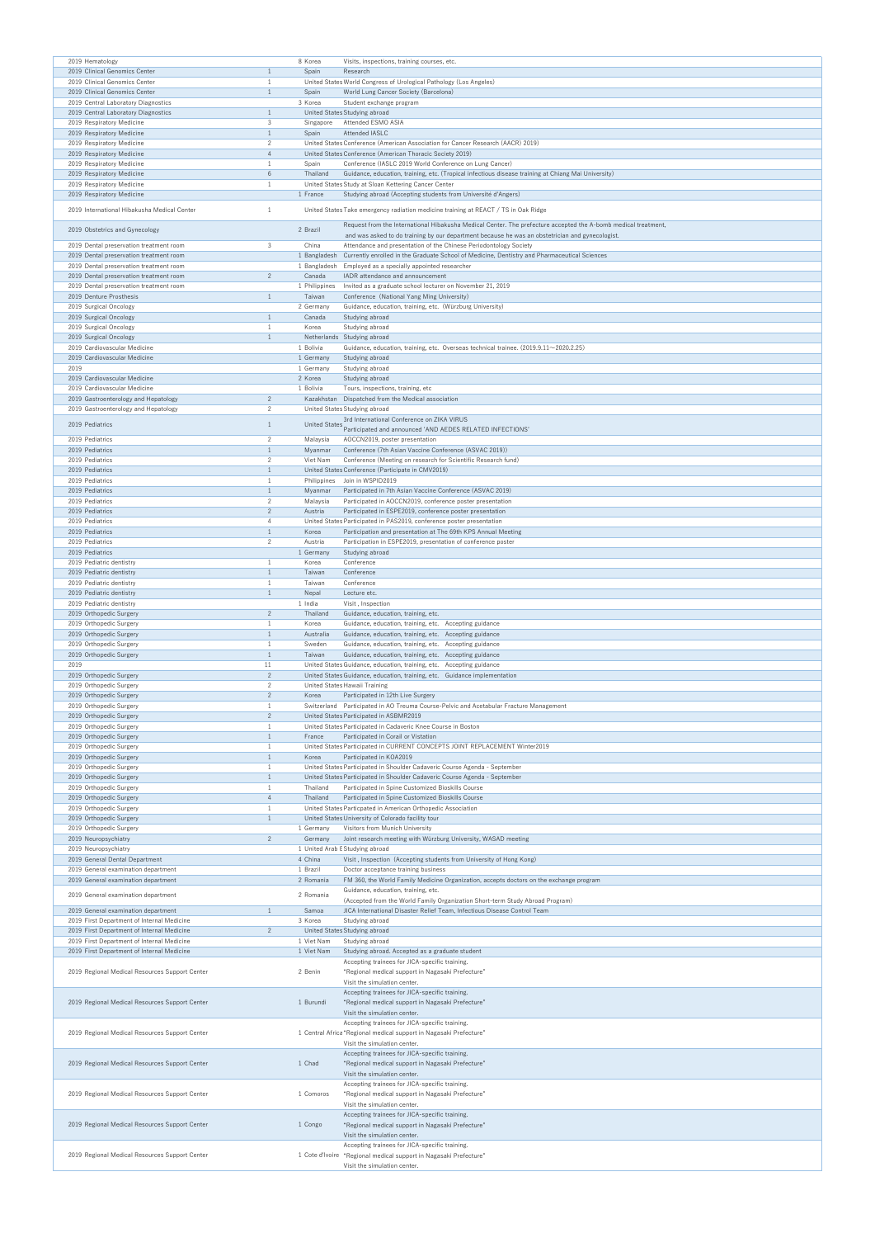| 2019 Hematology                                                                          |                   | 8 Korea                  | Visits, inspections, training courses, etc.                                                                                                                       |
|------------------------------------------------------------------------------------------|-------------------|--------------------------|-------------------------------------------------------------------------------------------------------------------------------------------------------------------|
| 2019 Clinical Genomics Center                                                            | $\mathbf{1}$      | Spain                    | Research                                                                                                                                                          |
| 2019 Clinical Genomics Center                                                            | $\mathbf{1}$      |                          | United States World Congress of Urological Pathology (Los Angeles)                                                                                                |
| 2019 Clinical Genomics Center                                                            | $\mathbf{1}$      | Spain                    | World Lung Cancer Society (Barcelona)                                                                                                                             |
| 2019 Central Laboratory Diagnostics                                                      |                   | 3 Korea                  | Student exchange program                                                                                                                                          |
| 2019 Central Laboratory Diagnostics                                                      | $\mathbf{1}$      |                          | United States Studying abroad                                                                                                                                     |
| 2019 Respiratory Medicine                                                                | 3                 | Singapore                | Attended ESMO ASIA                                                                                                                                                |
|                                                                                          | $\mathbf{1}$      | Spain                    | Attended IASLC                                                                                                                                                    |
| 2019 Respiratory Medicine<br>2019 Respiratory Medicine                                   | $\overline{c}$    |                          | United States Conference (American Association for Cancer Research (AACR) 2019)                                                                                   |
| 2019 Respiratory Medicine                                                                | $\overline{4}$    |                          | United States Conference (American Thoracic Society 2019)                                                                                                         |
| 2019 Respiratory Medicine                                                                | -1                | Spain                    | Conference (IASLC 2019 World Conference on Lung Cancer)                                                                                                           |
|                                                                                          | $6\phantom{.}6$   |                          |                                                                                                                                                                   |
| 2019 Respiratory Medicine<br>2019 Respiratory Medicine                                   | 1                 | Thailand                 | Guidance, education, training, etc. (Tropical infectious disease training at Chiang Mai University)<br>United States Study at Sloan Kettering Cancer Center       |
|                                                                                          |                   |                          |                                                                                                                                                                   |
| 2019 Respiratory Medicine                                                                |                   | 1 France                 | Studying abroad (Accepting students from Université d'Angers)                                                                                                     |
| 2019 International Hibakusha Medical Center                                              | -1                |                          | United States Take emergency radiation medicine training at REACT / TS in Oak Ridge                                                                               |
|                                                                                          |                   |                          |                                                                                                                                                                   |
| 2019 Obstetrics and Gynecology                                                           |                   | 2 Brazil                 | Request from the International Hibakusha Medical Center. The prefecture accepted the A-bomb medical treatment,                                                    |
|                                                                                          | 3                 |                          | and was asked to do training by our department because he was an obstetrician and gynecologist.                                                                   |
| 2019 Dental preservation treatment room                                                  |                   | China                    | Attendance and presentation of the Chinese Periodontology Society<br>Currently enrolled in the Graduate School of Medicine, Dentistry and Pharmaceutical Sciences |
| 2019 Dental preservation treatment room                                                  |                   | 1 Bangladesh             | Employed as a specially appointed researcher                                                                                                                      |
| 2019 Dental preservation treatment room                                                  | $\overline{c}$    | 1 Bangladesh<br>Canada   | IADR attendance and announcement                                                                                                                                  |
| 2019 Dental preservation treatment room                                                  |                   |                          |                                                                                                                                                                   |
| 2019 Dental preservation treatment room<br>2019 Denture Prosthesis                       | $\mathbf{1}$      | 1 Philippines<br>Taiwan  | Invited as a graduate school lecturer on November 21, 2019<br>Conference (National Yang Ming University)                                                          |
| 2019 Surgical Oncology                                                                   |                   | 2 Germany                | Guidance, education, training, etc. (Würzburg University)                                                                                                         |
| 2019 Surgical Oncology                                                                   | $\mathbf{1}$      | Canada                   | Studying abroad                                                                                                                                                   |
|                                                                                          | -1                | Korea                    |                                                                                                                                                                   |
| 2019 Surgical Oncology                                                                   | $\mathbf{1}$      |                          | Studying abroad<br>Netherlands Studying abroad                                                                                                                    |
| 2019 Surgical Oncology<br>2019 Cardiovascular Medicine                                   |                   | 1 Bolivia                | Guidance, education, training, etc. Overseas technical trainee. (2019.9.11~2020.2.25)                                                                             |
| 2019 Cardiovascular Medicine                                                             |                   | 1 Germany                | Studying abroad                                                                                                                                                   |
|                                                                                          |                   |                          |                                                                                                                                                                   |
| 2019<br>2019 Cardiovascular Medicine                                                     |                   | 1 Germany                | Studying abroad                                                                                                                                                   |
| 2019 Cardiovascular Medicine                                                             |                   | 2 Korea                  | Studying abroad                                                                                                                                                   |
|                                                                                          | $\overline{2}$    | 1 Bolivia                | Tours, inspections, training, etc                                                                                                                                 |
| 2019 Gastroenterology and Hepatology                                                     |                   |                          | Kazakhstan Dispatched from the Medical association                                                                                                                |
| 2019 Gastroenterology and Hepatology                                                     | $\overline{c}$    |                          | United States Studying abroad                                                                                                                                     |
| 2019 Pediatrics                                                                          | $\mathbf{1}$      | <b>United States</b>     | 3rd International Conference on ZIKA VIRUS                                                                                                                        |
|                                                                                          |                   |                          | Participated and announced 'AND AEDES RELATED INFECTIONS'                                                                                                         |
| 2019 Pediatrics                                                                          | 2                 | Malaysia                 | AOCCN2019, poster presentation                                                                                                                                    |
| 2019 Pediatrics                                                                          | $\mathbf{1}$      | Myanmar                  | Conference (7th Asian Vaccine Conference (ASVAC 2019))                                                                                                            |
| 2019 Pediatrics                                                                          | $\overline{c}$    | Viet Nam                 | Conference (Meeting on research for Scientific Research fund)                                                                                                     |
| 2019 Pediatrics                                                                          | $\mathbf{1}$      |                          | United States Conference (Participate in CMV2019)                                                                                                                 |
| 2019 Pediatrics                                                                          | 1                 |                          | Philippines Join in WSPID2019                                                                                                                                     |
| 2019 Pediatrics                                                                          | $\mathbf{1}$      | Myanmar                  | Participated in 7th Asian Vaccine Conference (ASVAC 2019)                                                                                                         |
| 2019 Pediatrics                                                                          | $\overline{c}$    | Malaysia                 | Participated in AOCCN2019, conference poster presentation                                                                                                         |
| 2019 Pediatrics                                                                          | $\overline{c}$    | Austria                  | Participated in ESPE2019, conference poster presentation                                                                                                          |
| 2019 Pediatrics                                                                          | 4                 |                          | United States Participated in PAS2019, conference poster presentation                                                                                             |
| 2019 Pediatrics                                                                          | $\mathbf{1}$      | Korea                    | Participation and presentation at The 69th KPS Annual Meeting                                                                                                     |
| 2019 Pediatrics                                                                          | $\overline{2}$    | Austria                  | Participation in ESPE2019, presentation of conference poster                                                                                                      |
| 2019 Pediatrics                                                                          |                   | 1 Germany                | Studying abroad                                                                                                                                                   |
| 2019 Pediatric dentistry                                                                 | 1                 | Korea                    | Conference                                                                                                                                                        |
| 2019 Pediatric dentistry                                                                 | $\mathbf{1}$      | Taiwan                   | Conference                                                                                                                                                        |
| 2019 Pediatric dentistry                                                                 | 1                 | Taiwan                   | Conference                                                                                                                                                        |
| 2019 Pediatric dentistry                                                                 | $\mathbf{1}$      | Nepal                    | Lecture etc.                                                                                                                                                      |
| 2019 Pediatric dentistry                                                                 |                   | 1 India                  | Visit, Inspection                                                                                                                                                 |
| 2019 Orthopedic Surgery                                                                  | $\overline{2}$    | Thailand                 | Guidance, education, training, etc.                                                                                                                               |
| 2019 Orthopedic Surgery                                                                  | 1                 | Korea                    | Guidance, education, training, etc. Accepting guidance                                                                                                            |
| 2019 Orthopedic Surgery                                                                  | $\mathbf{1}$      | Australia                | Guidance, education, training, etc. Accepting guidance                                                                                                            |
|                                                                                          |                   |                          |                                                                                                                                                                   |
|                                                                                          | 1                 |                          |                                                                                                                                                                   |
| 2019 Orthopedic Surgery                                                                  |                   | Sweden                   | Guidance, education, training, etc. Accepting guidance                                                                                                            |
| 2019 Orthopedic Surgery                                                                  | $\mathbf{1}$      | Taiwan                   | Guidance, education, training, etc. Accepting guidance                                                                                                            |
| 2019                                                                                     | 11                |                          | United States Guidance, education, training, etc. Accepting guidance                                                                                              |
| 2019 Orthopedic Surgery                                                                  | $\overline{c}$    |                          | United States Guidance, education, training, etc. Guidance implementation                                                                                         |
| 2019 Orthopedic Surgery                                                                  | $\overline{c}$    |                          | United States Hawaii Training                                                                                                                                     |
| 2019 Orthopedic Surgery                                                                  | $\overline{c}$    | Korea                    | Participated in 12th Live Surgery                                                                                                                                 |
| 2019 Orthopedic Surgery                                                                  | 1                 |                          | Switzerland Participated in AO Treuma Course-Pelvic and Acetabular Fracture Management                                                                            |
| 2019 Orthopedic Surgery                                                                  | $\overline{c}$    |                          | United States Participated in ASBMR2019                                                                                                                           |
| 2019 Orthopedic Surgery                                                                  | 1                 |                          | United States Participated in Cadaveric Knee Course in Boston                                                                                                     |
| 2019 Orthopedic Surgery                                                                  | $\mathbf{1}$      | France                   | Participated in Corail or Vistation                                                                                                                               |
| 2019 Orthopedic Surgery                                                                  | 1<br>$\mathbf{1}$ |                          | United States Participated in CURRENT CONCEPTS JOINT REPLACEMENT Winter2019                                                                                       |
| 2019 Orthopedic Surgery                                                                  |                   | Korea                    | Participated in KOA2019                                                                                                                                           |
| 2019 Orthopedic Surgery                                                                  | 1                 |                          | United States Participated in Shoulder Cadaveric Course Agenda - September                                                                                        |
| 2019 Orthopedic Surgery                                                                  | $\mathbf{1}$      |                          | United States Participated in Shoulder Cadaveric Course Agenda - September                                                                                        |
| 2019 Orthopedic Surgery                                                                  | 1                 | Thailand                 | Participated in Spine Customized Bioskills Course                                                                                                                 |
| 2019 Orthopedic Surgery                                                                  | $\overline{4}$    | Thailand                 | Participated in Spine Customized Bioskills Course                                                                                                                 |
| 2019 Orthopedic Surgery                                                                  | $\mathbf{1}$      |                          | United States Particpated in American Orthopedic Association                                                                                                      |
| 2019 Orthopedic Surgery                                                                  | $\mathbf{1}$      |                          | United States University of Colorado facility tour                                                                                                                |
| 2019 Orthopedic Surgery                                                                  |                   | 1 Germany                | Visitors from Munich University                                                                                                                                   |
| 2019 Neuropsychiatry                                                                     | $\overline{c}$    | Germany                  | Joint research meeting with Würzburg University, WASAD meeting                                                                                                    |
| 2019 Neuropsychiatry                                                                     |                   |                          | 1 United Arab E Studying abroad                                                                                                                                   |
| 2019 General Dental Department                                                           |                   | 4 China                  | Visit, Inspection (Accepting students from University of Hong Kong)                                                                                               |
| 2019 General examination department                                                      |                   | 1 Brazil                 | Doctor acceptance training business                                                                                                                               |
| 2019 General examination department                                                      |                   | 2 Romania                | FM 360, the World Family Medicine Organization, accepts doctors on the exchange program                                                                           |
| 2019 General examination department                                                      |                   | 2 Romania                | Guidance, education, training, etc.                                                                                                                               |
|                                                                                          |                   |                          | (Accepted from the World Family Organization Short-term Study Abroad Program)                                                                                     |
| 2019 General examination department<br>2019 First Department of Internal Medicine        | $\mathbf{1}$      | Samoa<br>3 Korea         | JICA International Disaster Relief Team, Infectious Disease Control Team                                                                                          |
|                                                                                          |                   |                          | Studying abroad                                                                                                                                                   |
| 2019 First Department of Internal Medicine                                               | $\overline{2}$    |                          | United States Studying abroad                                                                                                                                     |
| 2019 First Department of Internal Medicine<br>2019 First Department of Internal Medicine |                   | 1 Viet Nam<br>1 Viet Nam | Studying abroad                                                                                                                                                   |
|                                                                                          |                   |                          | Studying abroad. Accepted as a graduate student                                                                                                                   |
|                                                                                          |                   |                          | Accepting trainees for JICA-specific training.                                                                                                                    |
| 2019 Regional Medical Resources Support Center                                           |                   | 2 Benin                  | "Regional medical support in Nagasaki Prefecture"                                                                                                                 |
|                                                                                          |                   |                          | Visit the simulation center.                                                                                                                                      |
|                                                                                          |                   |                          | Accepting trainees for JICA-specific training.                                                                                                                    |
| 2019 Regional Medical Resources Support Center                                           |                   | 1 Burundi                | "Regional medical support in Nagasaki Prefecture"                                                                                                                 |
|                                                                                          |                   |                          | Visit the simulation center.                                                                                                                                      |
|                                                                                          |                   |                          | Accepting trainees for JICA-specific training.                                                                                                                    |
| 2019 Regional Medical Resources Support Center                                           |                   |                          | 1 Central Africa "Regional medical support in Nagasaki Prefecture"                                                                                                |
|                                                                                          |                   |                          | Visit the simulation center.                                                                                                                                      |
|                                                                                          |                   |                          | Accepting trainees for JICA-specific training.                                                                                                                    |
| 2019 Regional Medical Resources Support Center                                           |                   | 1 Chad                   | "Regional medical support in Nagasaki Prefecture"                                                                                                                 |
|                                                                                          |                   |                          | Visit the simulation center.                                                                                                                                      |
|                                                                                          |                   |                          | Accepting trainees for JICA-specific training.                                                                                                                    |
| 2019 Regional Medical Resources Support Center                                           |                   | 1 Comoros                | "Regional medical support in Nagasaki Prefecture"                                                                                                                 |
|                                                                                          |                   |                          | Visit the simulation center.                                                                                                                                      |
|                                                                                          |                   |                          | Accepting trainees for JICA-specific training.                                                                                                                    |
| 2019 Regional Medical Resources Support Center                                           |                   | 1 Congo                  | "Regional medical support in Nagasaki Prefecture"                                                                                                                 |
|                                                                                          |                   |                          | Visit the simulation center.                                                                                                                                      |
|                                                                                          |                   |                          | Accepting trainees for JICA-specific training.                                                                                                                    |
| 2019 Regional Medical Resources Support Center                                           |                   |                          | 1 Cote d'Ivoire "Regional medical support in Nagasaki Prefecture"<br>Visit the simulation center.                                                                 |